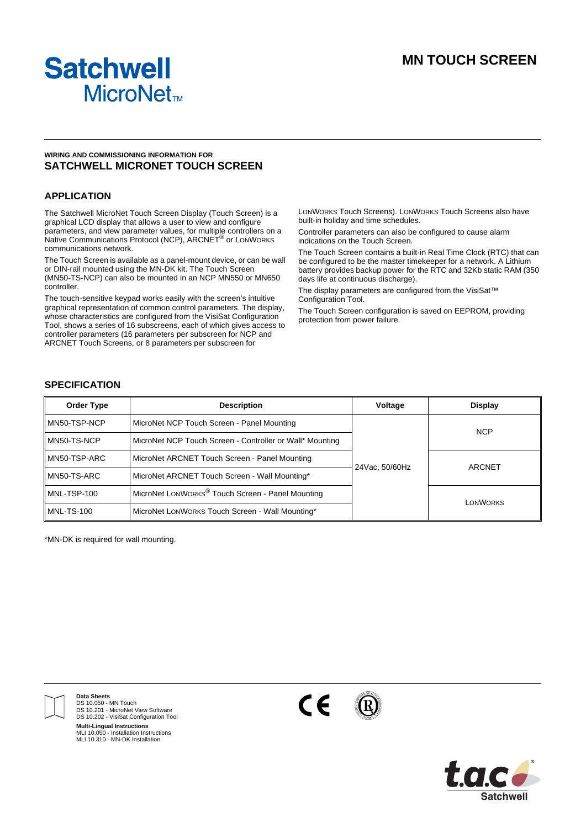

## **WIRING AND COMMISSIONING INFORMATION FOR SATCHWELL MICRONET TOUCH SCREEN**

## **APPLICATION**

The Satchwell MicroNet Touch Screen Display (Touch Screen) is a graphical LCD display that allows a user to view and configure parameters, and view parameter values, for multiple controllers on a Native Communications Protocol (NCP), ARCNET® or LONWORKS communications network.

The Touch Screen is available as a panel-mount device, or can be wall or DIN-rail mounted using the MN-DK kit. The Touch Screen (MN50-TS-NCP) can also be mounted in an NCP MN550 or MN650 controller.

The touch-sensitive keypad works easily with the screen's intuitive graphical representation of common control parameters. The display, whose characteristics are configured from the VisiSat Configuration Tool, shows a series of 16 subscreens, each of which gives access to controller parameters (16 parameters per subscreen for NCP and ARCNET Touch Screens, or 8 parameters per subscreen for

LONWORKS Touch Screens). LONWORKS Touch Screens also have built-in holiday and time schedules.

Controller parameters can also be configured to cause alarm indications on the Touch Screen.

The Touch Screen contains a built-in Real Time Clock (RTC) that can be configured to be the master timekeeper for a network. A Lithium battery provides backup power for the RTC and 32Kb static RAM (350 days life at continuous discharge).

The display parameters are configured from the VisiSat™ Configuration Tool.

The Touch Screen configuration is saved on EEPROM, providing protection from power failure.

## **SPECIFICATION**

| <b>Order Type</b> | <b>Description</b>                                           | Voltage        | <b>Display</b>  |
|-------------------|--------------------------------------------------------------|----------------|-----------------|
| MN50-TSP-NCP      | MicroNet NCP Touch Screen - Panel Mounting                   |                | <b>NCP</b>      |
| MN50-TS-NCP       | MicroNet NCP Touch Screen - Controller or Wall* Mounting     | 24Vac, 50/60Hz |                 |
| MN50-TSP-ARC      | MicroNet ARCNET Touch Screen - Panel Mounting                |                | ARCNET          |
| MN50-TS-ARC       | MicroNet ARCNET Touch Screen - Wall Mounting*                |                |                 |
| MNL-TSP-100       | MicroNet LONWORKS <sup>®</sup> Touch Screen - Panel Mounting |                | <b>LONWORKS</b> |
| <b>MNL-TS-100</b> | MicroNet LONWORKS Touch Screen - Wall Mounting*              |                |                 |

\*MN-DK is required for wall mounting.



**Data Sheets** DS 10.050 - MN Touch DS 10.201 - MicroNet View Software DS 10.202 - VisiSat Configuration Tool **Multi-Lingual Instructions** MLI 10.050 - Installation Instructions MLI 10.310 - MN-DK Installation



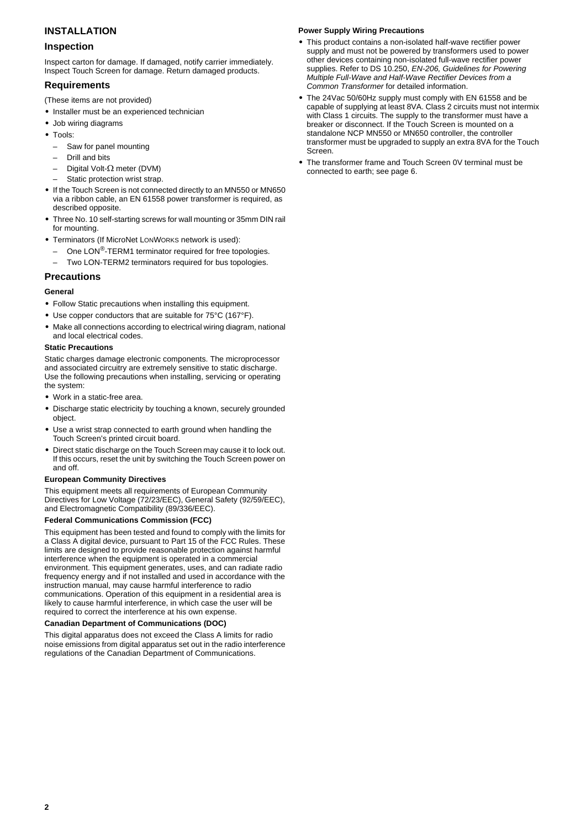# **INSTALLATION**

## **Inspection**

Inspect carton for damage. If damaged, notify carrier immediately. Inspect Touch Screen for damage. Return damaged products.

## **Requirements**

- (These items are not provided)
- **•** Installer must be an experienced technician
- **•** Job wiring diagrams
- **•** Tools:
	- Saw for panel mounting
	- Drill and bits
	- Digital Volt-Ω meter (DVM)
	- Static protection wrist strap.
- **•** If the Touch Screen is not connected directly to an MN550 or MN650 via a ribbon cable, an EN 61558 power transformer is required, as described opposite.
- **•** Three No. 10 self-starting screws for wall mounting or 35mm DIN rail for mounting.
- **•** Terminators (If MicroNet LONWORKS network is used):
- One LON<sup>®</sup>-TERM1 terminator required for free topologies.
- Two LON-TERM2 terminators required for bus topologies.

## **Precautions**

#### **General**

- **•** Follow Static precautions when installing this equipment.
- **•** Use copper conductors that are suitable for 75°C (167°F).
- **•** Make all connections according to electrical wiring diagram, national and local electrical codes.

#### **Static Precautions**

Static charges damage electronic components. The microprocessor and associated circuitry are extremely sensitive to static discharge. Use the following precautions when installing, servicing or operating the system:

- **•** Work in a static-free area.
- **•** Discharge static electricity by touching a known, securely grounded object.
- **•** Use a wrist strap connected to earth ground when handling the Touch Screen's printed circuit board.
- **•** Direct static discharge on the Touch Screen may cause it to lock out. If this occurs, reset the unit by switching the Touch Screen power on and off.

#### **European Community Directives**

This equipment meets all requirements of European Community Directives for Low Voltage (72/23/EEC), General Safety (92/59/EEC), and Electromagnetic Compatibility (89/336/EEC).

#### **Federal Communications Commission (FCC)**

This equipment has been tested and found to comply with the limits for a Class A digital device, pursuant to Part 15 of the FCC Rules. These limits are designed to provide reasonable protection against harmful interference when the equipment is operated in a commercial environment. This equipment generates, uses, and can radiate radio frequency energy and if not installed and used in accordance with the instruction manual, may cause harmful interference to radio communications. Operation of this equipment in a residential area is likely to cause harmful interference, in which case the user will be required to correct the interference at his own expense.

#### **Canadian Department of Communications (DOC)**

This digital apparatus does not exceed the Class A limits for radio noise emissions from digital apparatus set out in the radio interference regulations of the Canadian Department of Communications.

#### **Power Supply Wiring Precautions**

- **•** This product contains a non-isolated half-wave rectifier power supply and must not be powered by transformers used to power other devices containing non-isolated full-wave rectifier power supplies. Refer to DS 10.250, *EN-206, Guidelines for Powering Multiple Full-Wave and Half-Wave Rectifier Devices from a Common Transformer* for detailed information.
- **•** The 24Vac 50/60Hz supply must comply with EN 61558 and be capable of supplying at least 8VA. Class 2 circuits must not intermix with Class 1 circuits. The supply to the transformer must have a breaker or disconnect. If the Touch Screen is mounted on a standalone NCP MN550 or MN650 controller, the controller transformer must be upgraded to supply an extra 8VA for the Touch Screen.
- **•** The transformer frame and Touch Screen 0V terminal must be connected to earth; see [page 6](#page-5-0).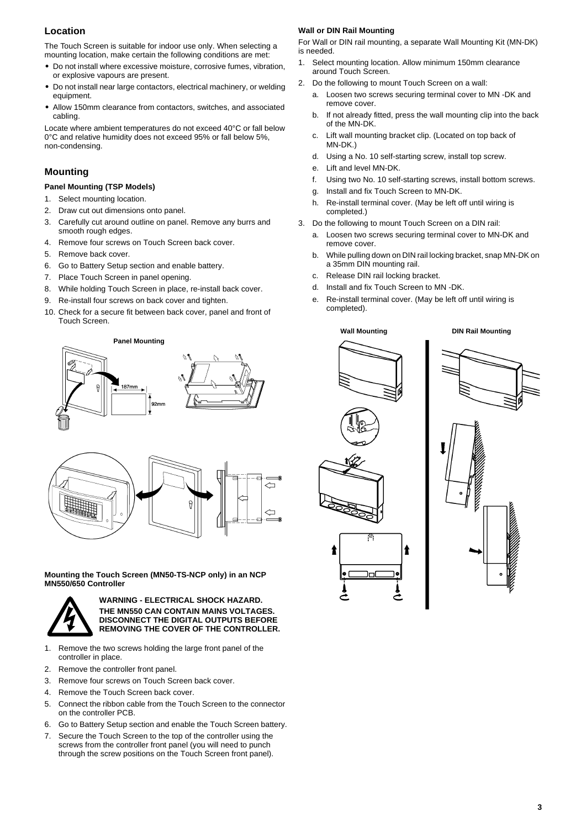# **Location**

The Touch Screen is suitable for indoor use only. When selecting a mounting location, make certain the following conditions are met:

- **•** Do not install where excessive moisture, corrosive fumes, vibration, or explosive vapours are present.
- **•** Do not install near large contactors, electrical machinery, or welding equipment.
- **•** Allow 150mm clearance from contactors, switches, and associated cabling.

Locate where ambient temperatures do not exceed 40°C or fall below 0°C and relative humidity does not exceed 95% or fall below 5%, non-condensing.

# **Mounting**

## **Panel Mounting (TSP Models)**

- 1. Select mounting location.
- 2. Draw cut out dimensions onto panel.
- 3. Carefully cut around outline on panel. Remove any burrs and smooth rough edges.
- 4. Remove four screws on Touch Screen back cover. 5. Remove back cover.
- 6. Go to Battery Setup section and enable battery.
- 7. Place Touch Screen in panel opening.
- 8. While holding Touch Screen in place, re-install back cover.
- 9. Re-install four screws on back cover and tighten.
- 10. Check for a secure fit between back cover, panel and front of Touch Screen.

**Panel Mounting**





**Mounting the Touch Screen (MN50-TS-NCP only) in an NCP MN550/650 Controller**



**WARNING - ELECTRICAL SHOCK HAZARD. THE MN550 CAN CONTAIN MAINS VOLTAGES. DISCONNECT THE DIGITAL OUTPUTS BEFORE REMOVING THE COVER OF THE CONTROLLER.**

- 1. Remove the two screws holding the large front panel of the controller in place.
- 2. Remove the controller front panel.
- 3. Remove four screws on Touch Screen back cover.
- 4. Remove the Touch Screen back cover.
- 5. Connect the ribbon cable from the Touch Screen to the connector on the controller PCB.
- 6. Go to Battery Setup section and enable the Touch Screen battery.
- 7. Secure the Touch Screen to the top of the controller using the screws from the controller front panel (you will need to punch through the screw positions on the Touch Screen front panel).

#### **Wall or DIN Rail Mounting**

For Wall or DIN rail mounting, a separate Wall Mounting Kit (MN-DK) is needed.

- 1. Select mounting location. Allow minimum 150mm clearance around Touch Screen.
- 2. Do the following to mount Touch Screen on a wall:
	- a. Loosen two screws securing terminal cover to MN -DK and remove cover.
	- b. If not already fitted, press the wall mounting clip into the back of the MN-DK.
	- c. Lift wall mounting bracket clip. (Located on top back of MN-DK.)
	- d. Using a No. 10 self-starting screw, install top screw.
	- e. Lift and level MN-DK.
	- f. Using two No. 10 self-starting screws, install bottom screws.
	- g. Install and fix Touch Screen to MN-DK.
	- h. Re-install terminal cover. (May be left off until wiring is completed.)
- 3. Do the following to mount Touch Screen on a DIN rail:
	- a. Loosen two screws securing terminal cover to MN-DK and remove cover.
	- b. While pulling down on DIN rail locking bracket, snap MN-DK on a 35mm DIN mounting rail.
	- c. Release DIN rail locking bracket.
	- d. Install and fix Touch Screen to MN -DK.
	- e. Re-install terminal cover. (May be left off until wiring is completed).





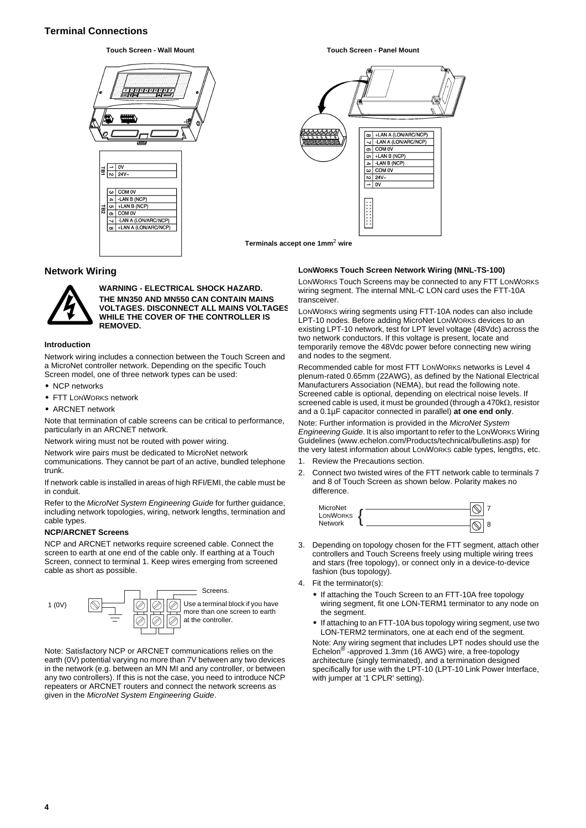# **Terminal Connections**



#### **Touch Screen - Wall Mount Touch Screen - Panel Mount**



**Terminals accept one 1mm**2 **wire**

## **Network Wiring**



**WARNING - ELECTRICAL SHOCK HAZARD. THE MN350 AND MN550 CAN CONTAIN MAINS VOLTAGES. DISCONNECT ALL MAINS VOLTAGES WHILE THE COVER OF THE CONTROLLER IS REMOVED.**

#### **Introduction**

Network wiring includes a connection between the Touch Screen and a MicroNet controller network. Depending on the specific Touch Screen model, one of three network types can be used:

- **•** NCP networks
- **•** FTT LONWORKS network
- **•** ARCNET network

Note that termination of cable screens can be critical to performance, particularly in an ARCNET network.

Network wiring must not be routed with power wiring.

Network wire pairs must be dedicated to MicroNet network

communications. They cannot be part of an active, bundled telephone trunk.

If network cable is installed in areas of high RFI/EMI, the cable must be in conduit.

Refer to the *MicroNet System Engineering Guide* for further guidance, including network topologies, wiring, network lengths, termination and cable types.

#### <span id="page-3-0"></span>**NCP/ARCNET Screens**

NCP and ARCNET networks require screened cable. Connect the screen to earth at one end of the cable only. If earthing at a Touch Screen, connect to terminal 1. Keep wires emerging from screened cable as short as possible.



Note: Satisfactory NCP or ARCNET communications relies on the earth (0V) potential varying no more than 7V between any two devices in the network (e.g. between an MN MI and any controller, or between any two controllers). If this is not the case, you need to introduce NCP repeaters or ARCNET routers and connect the network screens as given in the *MicroNet System Engineering Guide*.

#### **LONWORKS Touch Screen Network Wiring (MNL-TS-100)**

LONWORKS Touch Screens may be connected to any FTT LONWORKS wiring segment. The internal MNL-C LON card uses the FTT-10A transceiver.

LONWORKS wiring segments using FTT-10A nodes can also include LPT-10 nodes. Before adding MicroNet LONWORKS devices to an existing LPT-10 network, test for LPT level voltage (48Vdc) across the two network conductors. If this voltage is present, locate and temporarily remove the 48Vdc power before connecting new wiring and nodes to the segment.

Recommended cable for most FTT LONWORKS networks is Level 4 plenum-rated 0.65mm (22AWG), as defined by the National Electrical Manufacturers Association (NEMA), but read the following note. Screened cable is optional, depending on electrical noise levels. If screened cable is used, it must be grounded (through a 470kΩ, resistor and a 0.1µF capacitor connected in parallel) **at one end only**.

Note: Further information is provided in the *MicroNet System Engineering Guide*. It is also important to refer to the LONWORKS Wiring Guidelines (www.echelon.com/Products/technical/bulletins.asp) for the very latest information about LONWORKS cable types, lengths, etc.

- 1. Review the Precautions section.
- 2. Connect two twisted wires of the FTT network cable to terminals 7 and 8 of Touch Screen as shown below. Polarity makes no difference.



- 3. Depending on topology chosen for the FTT segment, attach other controllers and Touch Screens freely using multiple wiring trees and stars (free topology), or connect only in a device-to-device fashion (bus topology).
- 4. Fit the terminator(s):
	- **•** If attaching the Touch Screen to an FTT-10A free topology wiring segment, fit one LON-TERM1 terminator to any node on the seament.
	- **•** If attaching to an FTT-10A bus topology wiring segment, use two LON-TERM2 terminators, one at each end of the segment.

Note: Any wiring segment that includes LPT nodes should use the Echelon® -approved 1.3mm (16 AWG) wire, a free-topology architecture (singly terminated), and a termination designed specifically for use with the LPT-10 (LPT-10 Link Power Interface, with jumper at '1 CPLR' setting).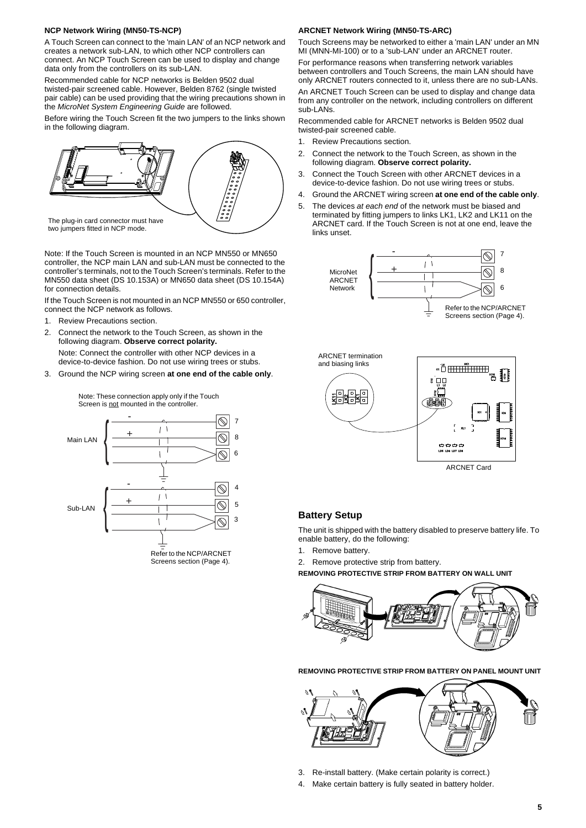#### **NCP Network Wiring (MN50-TS-NCP)**

A Touch Screen can connect to the 'main LAN' of an NCP network and creates a network sub-LAN, to which other NCP controllers can connect. An NCP Touch Screen can be used to display and change data only from the controllers on its sub-LAN.

Recommended cable for NCP networks is Belden 9502 dual twisted-pair screened cable. However, Belden 8762 (single twisted pair cable) can be used providing that the wiring precautions shown in the *MicroNet System Engineering Guide* are followed.

Before wiring the Touch Screen fit the two jumpers to the links shown in the following diagram.



Note: If the Touch Screen is mounted in an NCP MN550 or MN650 controller, the NCP main LAN and sub-LAN must be connected to the controller's terminals, not to the Touch Screen's terminals. Refer to the MN550 data sheet (DS 10.153A) or MN650 data sheet (DS 10.154A) for connection details.

If the Touch Screen is not mounted in an NCP MN550 or 650 controller, connect the NCP network as follows.

- 1. Review Precautions section.
- 2. Connect the network to the Touch Screen, as shown in the following diagram. **Observe correct polarity.**

Note: Connect the controller with other NCP devices in a device-to-device fashion. Do not use wiring trees or stubs.

3. Ground the NCP wiring screen **at one end of the cable only**.

Note: These connection apply only if the Touch Screen is not mounted in the controller.



## **ARCNET Network Wiring (MN50-TS-ARC)**

Touch Screens may be networked to either a 'main LAN' under an MN MI (MNN-MI-100) or to a 'sub-LAN' under an ARCNET router.

For performance reasons when transferring network variables between controllers and Touch Screens, the main LAN should have only ARCNET routers connected to it, unless there are no sub-LANs.

An ARCNET Touch Screen can be used to display and change data from any controller on the network, including controllers on different sub-LANs.

Recommended cable for ARCNET networks is Belden 9502 dual twisted-pair screened cable.

- 1. Review Precautions section.
- 2. Connect the network to the Touch Screen, as shown in the following diagram. **Observe correct polarity.**
- 3. Connect the Touch Screen with other ARCNET devices in a device-to-device fashion. Do not use wiring trees or stubs.
- 4. Ground the ARCNET wiring screen **at one end of the cable only**.
- 5. The devices *at each end* of the network must be biased and terminated by fitting jumpers to links LK1, LK2 and LK11 on the ARCNET card. If the Touch Screen is not at one end, leave the links unset.





ARCNET Card

# **Battery Setup**

The unit is shipped with the battery disabled to preserve battery life. To enable battery, do the following:

1. Remove battery.

2. Remove protective strip from battery.

**REMOVING PROTECTIVE STRIP FROM BATTERY ON WALL UNIT**



**REMOVING PROTECTIVE STRIP FROM BATTERY ON PANEL MOUNT UNIT**



- 3. Re-install battery. (Make certain polarity is correct.)
- 4. Make certain battery is fully seated in battery holder.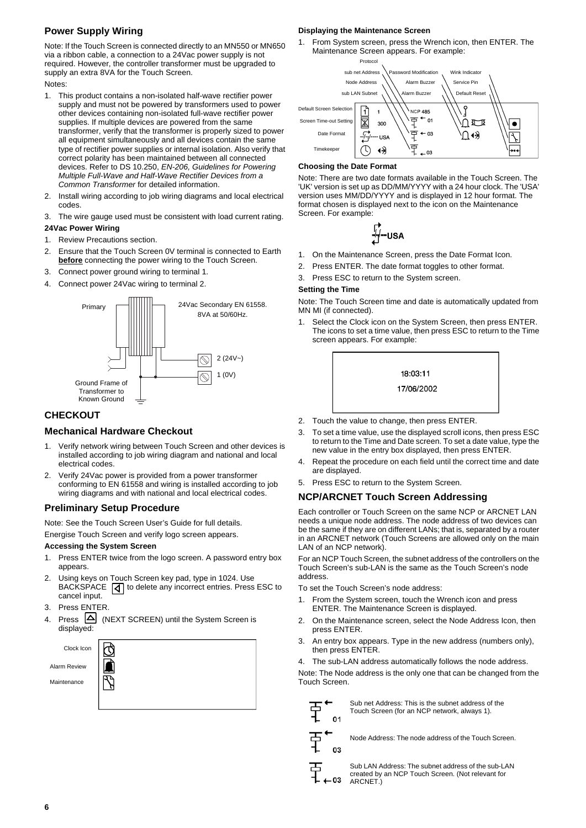# **Power Supply Wiring**

Note: If the Touch Screen is connected directly to an MN550 or MN650 via a ribbon cable, a connection to a 24Vac power supply is not required. However, the controller transformer must be upgraded to supply an extra 8VA for the Touch Screen.

Notes:

- 1. This product contains a non-isolated half-wave rectifier power supply and must not be powered by transformers used to power other devices containing non-isolated full-wave rectifier power supplies. If multiple devices are powered from the same transformer, verify that the transformer is properly sized to power all equipment simultaneously and all devices contain the same type of rectifier power supplies or internal isolation. Also verify that correct polarity has been maintained between all connected devices. Refer to DS 10.250, *EN-206, Guidelines for Powering Multiple Full-Wave and Half-Wave Rectifier Devices from a Common Transformer* for detailed information.
- 2. Install wiring according to job wiring diagrams and local electrical codes.
- <span id="page-5-0"></span>3. The wire gauge used must be consistent with load current rating. **24Vac Power Wiring**
- 1. Review Precautions section.
- 2. Ensure that the Touch Screen 0V terminal is connected to Earth **before** connecting the power wiring to the Touch Screen.
- 3. Connect power ground wiring to terminal 1.
- 4. Connect power 24Vac wiring to terminal 2.



# **CHECKOUT**

## **Mechanical Hardware Checkout**

- Verify network wiring between Touch Screen and other devices is installed according to job wiring diagram and national and local electrical codes.
- 2. Verify 24Vac power is provided from a power transformer conforming to EN 61558 and wiring is installed according to job wiring diagrams and with national and local electrical codes.

## **Preliminary Setup Procedure**

Note: See the Touch Screen User's Guide for full details.

Energise Touch Screen and verify logo screen appears.

## **Accessing the System Screen**

- 1. Press ENTER twice from the logo screen. A password entry box appears.
- 2. Using keys on Touch Screen key pad, type in 1024. Use BACKSPACE  $\boxed{d}$  to delete any incorrect entries. Press ESC to cancel input.
- 3. Press ENTER.
- 4. Press  $\boxed{\triangle}$  (NEXT SCREEN) until the System Screen is displayed:



## **Displaying the Maintenance Screen**

1. From System screen, press the Wrench icon, then ENTER. The Maintenance Screen appears. For example:



## **Choosing the Date Format**

Note: There are two date formats available in the Touch Screen. The 'UK' version is set up as DD/MM/YYYY with a 24 hour clock. The 'USA' version uses MM/DD/YYYY and is displayed in 12 hour format. The format chosen is displayed next to the icon on the Maintenance Screen. For example:

$$
\overleftrightarrow{\mathcal{H}}\text{-} \mathsf{USA}
$$

- 1. On the Maintenance Screen, press the Date Format Icon.
- 2. Press ENTER. The date format toggles to other format.
- 3. Press ESC to return to the System screen.

#### **Setting the Time**

Note: The Touch Screen time and date is automatically updated from MN MI (if connected).

1. Select the Clock icon on the System Screen, then press ENTER. The icons to set a time value, then press ESC to return to the Time screen appears. For example:



- 2. Touch the value to change, then press ENTER.
- 3. To set a time value, use the displayed scroll icons, then press ESC to return to the Time and Date screen. To set a date value, type the new value in the entry box displayed, then press ENTER.
- 4. Repeat the procedure on each field until the correct time and date are displayed.
- 5. Press ESC to return to the System Screen.

## **NCP/ARCNET Touch Screen Addressing**

Each controller or Touch Screen on the same NCP or ARCNET LAN needs a unique node address. The node address of two devices can be the same if they are on different LANs; that is, separated by a router in an ARCNET network (Touch Screens are allowed only on the main LAN of an NCP network).

For an NCP Touch Screen, the subnet address of the controllers on the Touch Screen's sub-LAN is the same as the Touch Screen's node address.

To set the Touch Screen's node address:

- 1. From the System screen, touch the Wrench icon and press ENTER. The Maintenance Screen is displayed.
- 2. On the Maintenance screen, select the Node Address Icon, then press ENTER.
- 3. An entry box appears. Type in the new address (numbers only), then press ENTER.
- 4. The sub-LAN address automatically follows the node address.

Note: The Node address is the only one that can be changed from the Touch Screen.

| ⊐ |    | Sub <sub>r</sub><br>Touc |  |
|---|----|--------------------------|--|
|   | 01 |                          |  |
|   |    |                          |  |

net Address: This is the subnet address of the h Screen (for an NCP network, always 1).

국<br>구

Node Address: The node address of the Touch Screen.

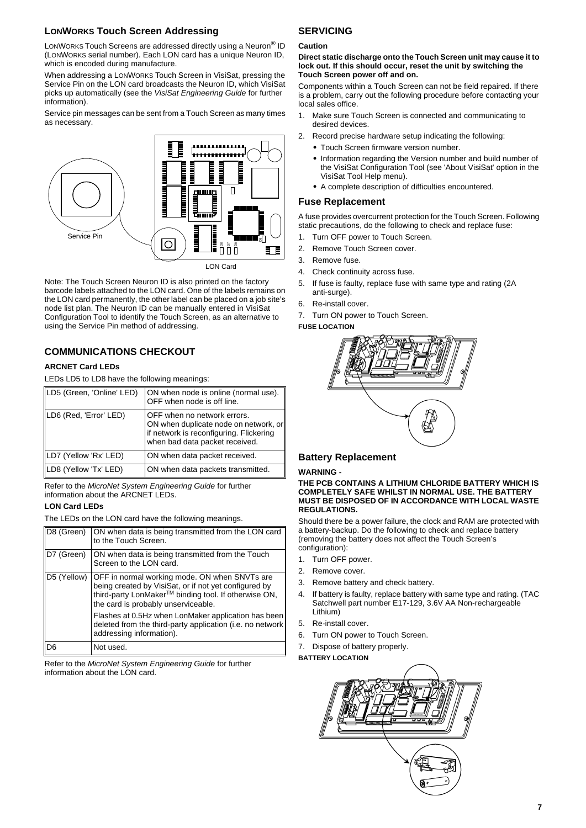## **LONWORKS Touch Screen Addressing**

LONWORKS Touch Screens are addressed directly using a Neuron® ID (LONWORKS serial number). Each LON card has a unique Neuron ID, which is encoded during manufacture.

When addressing a LONWORKS Touch Screen in VisiSat, pressing the Service Pin on the LON card broadcasts the Neuron ID, which VisiSat picks up automatically (see the *VisiSat Engineering Guide* for further information).

Service pin messages can be sent from a Touch Screen as many times as necessary.



Note: The Touch Screen Neuron ID is also printed on the factory barcode labels attached to the LON card. One of the labels remains on the LON card permanently, the other label can be placed on a job site's node list plan. The Neuron ID can be manually entered in VisiSat Configuration Tool to identify the Touch Screen, as an alternative to using the Service Pin method of addressing.

# **COMMUNICATIONS CHECKOUT**

## **ARCNET Card LEDs**

LEDs LD5 to LD8 have the following meanings:

| LD5 (Green, 'Online' LED) | ON when node is online (normal use).<br>OFF when node is off line.                                                                                |
|---------------------------|---------------------------------------------------------------------------------------------------------------------------------------------------|
| LD6 (Red, 'Error' LED)    | OFF when no network errors.<br>ON when duplicate node on network, or<br>if network is reconfiguring. Flickering<br>when bad data packet received. |
| LD7 (Yellow 'Rx' LED)     | ON when data packet received.                                                                                                                     |
| LD8 (Yellow 'Tx' LED)     | ON when data packets transmitted.                                                                                                                 |

Refer to the *MicroNet System Engineering Guide* for further information about the ARCNET LEDs.

## **LON Card LEDs**

The LEDs on the LON card have the following meanings.

| D8 (Green)  | ON when data is being transmitted from the LON card<br>to the Touch Screen.                                                                                                                           |
|-------------|-------------------------------------------------------------------------------------------------------------------------------------------------------------------------------------------------------|
| D7 (Green)  | ON when data is being transmitted from the Touch<br>Screen to the LON card.                                                                                                                           |
| D5 (Yellow) | OFF in normal working mode. ON when SNVTs are<br>being created by VisiSat, or if not yet configured by<br>third-party LonMaker™ binding tool. If otherwise ON,<br>the card is probably unserviceable. |
|             | Flashes at 0.5Hz when LonMaker application has been<br>deleted from the third-party application (i.e. no network<br>addressing information).                                                          |
| D6          | Not used.                                                                                                                                                                                             |

Refer to the *MicroNet System Engineering Guide* for further information about the LON card.

# **SERVICING**

#### **Caution**

#### **Direct static discharge onto the Touch Screen unit may cause it to lock out. If this should occur, reset the unit by switching the Touch Screen power off and on.**

Components within a Touch Screen can not be field repaired. If there is a problem, carry out the following procedure before contacting your local sales office.

- 1. Make sure Touch Screen is connected and communicating to desired devices.
- 2. Record precise hardware setup indicating the following:
	- **•** Touch Screen firmware version number.
	- **•** Information regarding the Version number and build number of the VisiSat Configuration Tool (see 'About VisiSat' option in the VisiSat Tool Help menu).
	- **•** A complete description of difficulties encountered.

## **Fuse Replacement**

A fuse provides overcurrent protection for the Touch Screen. Following static precautions, do the following to check and replace fuse:

- 1. Turn OFF power to Touch Screen.
- 2. Remove Touch Screen cover.
- 3. Remove fuse.
- 4. Check continuity across fuse.
- 5. If fuse is faulty, replace fuse with same type and rating (2A anti-surge).
- 6. Re-install cover.
- 7. Turn ON power to Touch Screen.

**FUSE LOCATION**



## **Battery Replacement**

#### **WARNING -**

**THE PCB CONTAINS A LITHIUM CHLORIDE BATTERY WHICH IS COMPLETELY SAFE WHILST IN NORMAL USE. THE BATTERY MUST BE DISPOSED OF IN ACCORDANCE WITH LOCAL WASTE REGULATIONS.**

Should there be a power failure, the clock and RAM are protected with a battery-backup. Do the following to check and replace battery (removing the battery does not affect the Touch Screen's configuration):

- 1. Turn OFF power.
- 2. Remove cover.
- 3. Remove battery and check battery.
- 4. If battery is faulty, replace battery with same type and rating. (TAC Satchwell part number E17-129, 3.6V AA Non-rechargeable Lithium)
- 5. Re-install cover.
- 6. Turn ON power to Touch Screen.
- 7. Dispose of battery properly.

**BATTERY LOCATION**